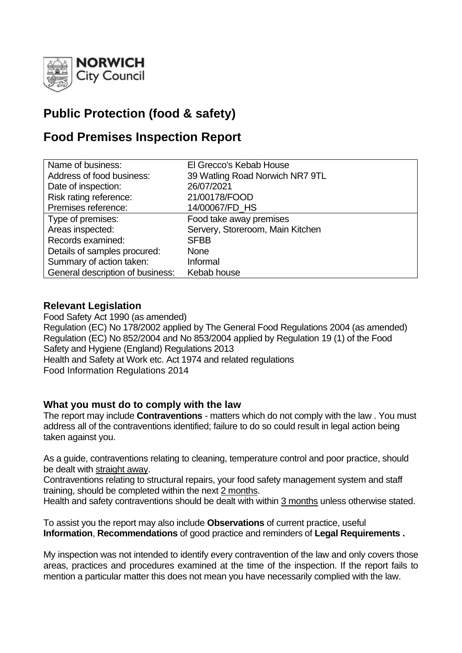

# **Public Protection (food & safety)**

# **Food Premises Inspection Report**

| Name of business:                | El Grecco's Kebab House          |
|----------------------------------|----------------------------------|
| Address of food business:        | 39 Watling Road Norwich NR7 9TL  |
| Date of inspection:              | 26/07/2021                       |
| Risk rating reference:           | 21/00178/FOOD                    |
| Premises reference:              | 14/00067/FD_HS                   |
| Type of premises:                | Food take away premises          |
| Areas inspected:                 | Servery, Storeroom, Main Kitchen |
| Records examined:                | <b>SFBB</b>                      |
| Details of samples procured:     | <b>None</b>                      |
| Summary of action taken:         | Informal                         |
| General description of business: | Kebab house                      |

# **Relevant Legislation**

Food Safety Act 1990 (as amended) Regulation (EC) No 178/2002 applied by The General Food Regulations 2004 (as amended) Regulation (EC) No 852/2004 and No 853/2004 applied by Regulation 19 (1) of the Food Safety and Hygiene (England) Regulations 2013 Health and Safety at Work etc. Act 1974 and related regulations Food Information Regulations 2014

## **What you must do to comply with the law**

The report may include **Contraventions** - matters which do not comply with the law . You must address all of the contraventions identified; failure to do so could result in legal action being taken against you.

As a guide, contraventions relating to cleaning, temperature control and poor practice, should be dealt with straight away.

Contraventions relating to structural repairs, your food safety management system and staff training, should be completed within the next 2 months.

Health and safety contraventions should be dealt with within 3 months unless otherwise stated.

To assist you the report may also include **Observations** of current practice, useful **Information**, **Recommendations** of good practice and reminders of **Legal Requirements .**

My inspection was not intended to identify every contravention of the law and only covers those areas, practices and procedures examined at the time of the inspection. If the report fails to mention a particular matter this does not mean you have necessarily complied with the law.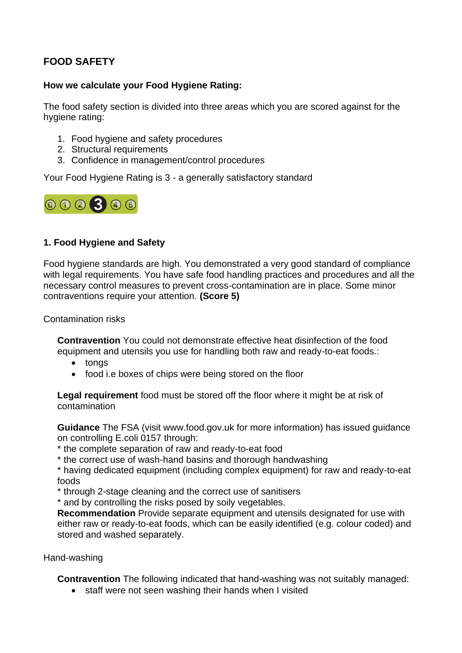# **FOOD SAFETY**

## **How we calculate your Food Hygiene Rating:**

The food safety section is divided into three areas which you are scored against for the hygiene rating:

- 1. Food hygiene and safety procedures
- 2. Structural requirements
- 3. Confidence in management/control procedures

Your Food Hygiene Rating is 3 - a generally satisfactory standard



# **1. Food Hygiene and Safety**

Food hygiene standards are high. You demonstrated a very good standard of compliance with legal requirements. You have safe food handling practices and procedures and all the necessary control measures to prevent cross-contamination are in place. Some minor contraventions require your attention. **(Score 5)**

Contamination risks

**Contravention** You could not demonstrate effective heat disinfection of the food equipment and utensils you use for handling both raw and ready-to-eat foods.:

- tongs
- food i.e boxes of chips were being stored on the floor

**Legal requirement** food must be stored off the floor where it might be at risk of contamination

**Guidance** The FSA (visit www.food.gov.uk for more information) has issued guidance on controlling E.coli 0157 through:

\* the complete separation of raw and ready-to-eat food

\* the correct use of wash-hand basins and thorough handwashing

\* having dedicated equipment (including complex equipment) for raw and ready-to-eat foods

\* through 2-stage cleaning and the correct use of sanitisers

\* and by controlling the risks posed by soily vegetables.

**Recommendation** Provide separate equipment and utensils designated for use with either raw or ready-to-eat foods, which can be easily identified (e.g. colour coded) and stored and washed separately.

Hand-washing

**Contravention** The following indicated that hand-washing was not suitably managed:

• staff were not seen washing their hands when I visited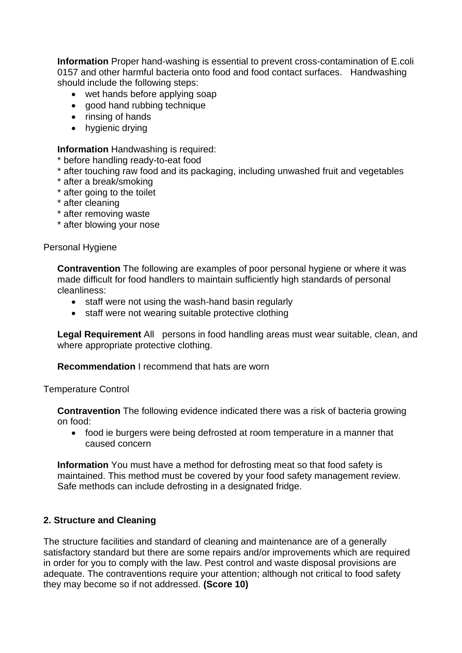**Information** Proper hand-washing is essential to prevent cross-contamination of E.coli 0157 and other harmful bacteria onto food and food contact surfaces. Handwashing should include the following steps:

- wet hands before applying soap
- good hand rubbing technique
- rinsing of hands
- hygienic drying

**Information** Handwashing is required:

- \* before handling ready-to-eat food
- \* after touching raw food and its packaging, including unwashed fruit and vegetables
- \* after a break/smoking
- \* after going to the toilet
- \* after cleaning
- \* after removing waste
- \* after blowing your nose

#### Personal Hygiene

**Contravention** The following are examples of poor personal hygiene or where it was made difficult for food handlers to maintain sufficiently high standards of personal cleanliness:

- staff were not using the wash-hand basin regularly
- staff were not wearing suitable protective clothing

**Legal Requirement** All persons in food handling areas must wear suitable, clean, and where appropriate protective clothing.

#### **Recommendation** I recommend that hats are worn

#### Temperature Control

**Contravention** The following evidence indicated there was a risk of bacteria growing on food:

• food ie burgers were being defrosted at room temperature in a manner that caused concern

**Information** You must have a method for defrosting meat so that food safety is maintained. This method must be covered by your food safety management review. Safe methods can include defrosting in a designated fridge.

## **2. Structure and Cleaning**

The structure facilities and standard of cleaning and maintenance are of a generally satisfactory standard but there are some repairs and/or improvements which are required in order for you to comply with the law. Pest control and waste disposal provisions are adequate. The contraventions require your attention; although not critical to food safety they may become so if not addressed. **(Score 10)**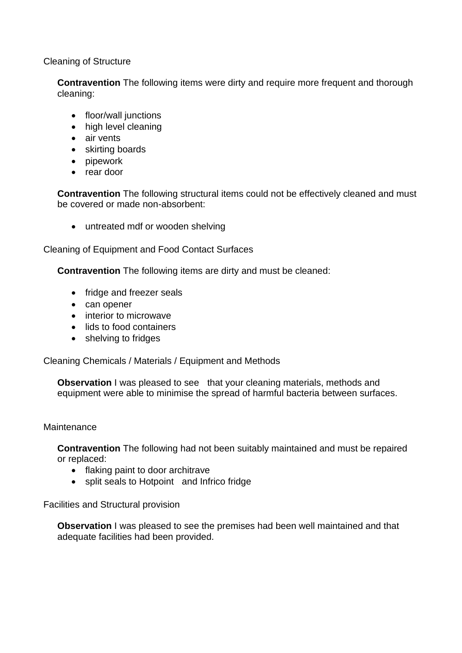Cleaning of Structure

**Contravention** The following items were dirty and require more frequent and thorough cleaning:

- floor/wall junctions
- high level cleaning
- air vents
- skirting boards
- pipework
- rear door

**Contravention** The following structural items could not be effectively cleaned and must be covered or made non-absorbent:

• untreated mdf or wooden shelving

Cleaning of Equipment and Food Contact Surfaces

**Contravention** The following items are dirty and must be cleaned:

- fridge and freezer seals
- can opener
- interior to microwave
- lids to food containers
- shelving to fridges

Cleaning Chemicals / Materials / Equipment and Methods

**Observation I** was pleased to see that your cleaning materials, methods and equipment were able to minimise the spread of harmful bacteria between surfaces.

#### **Maintenance**

**Contravention** The following had not been suitably maintained and must be repaired or replaced:

- flaking paint to door architrave
- split seals to Hotpoint and Infrico fridge

Facilities and Structural provision

**Observation** I was pleased to see the premises had been well maintained and that adequate facilities had been provided.